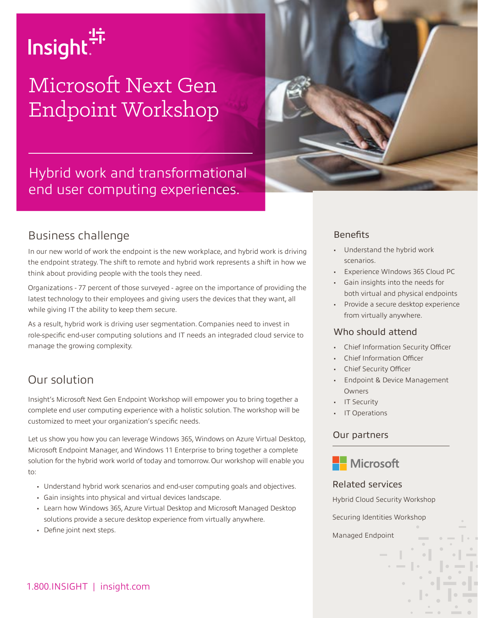

# Microsoft Next Gen Endpoint Workshop



Hybrid work and transformational end user computing experiences.

### Business challenge

In our new world of work the endpoint is the new workplace, and hybrid work is driving the endpoint strategy. The shift to remote and hybrid work represents a shift in how we think about providing people with the tools they need.

Organizations - 77 percent of those surveyed - agree on the importance of providing the latest technology to their employees and giving users the devices that they want, all while giving IT the ability to keep them secure.

As a result, hybrid work is driving user segmentation. Companies need to invest in role-specific end-user computing solutions and IT needs an integraded cloud service to manage the growing complexity.

## Our solution

Insight's Microsoft Next Gen Endpoint Workshop will empower you to bring together a complete end user computing experience with a holistic solution. The workshop will be customized to meet your organization's specific needs.

Let us show you how you can leverage Windows 365, Windows on Azure Virtual Desktop, Microsoft Endpoint Manager, and Windows 11 Enterprise to bring together a complete solution for the hybrid work world of today and tomorrow. Our workshop will enable you to:

- Understand hybrid work scenarios and end-user computing goals and objectives.
- Gain insights into physical and virtual devices landscape.
- Learn how Windows 365, Azure Virtual Desktop and Microsoft Managed Desktop solutions provide a secure desktop experience from virtually anywhere.
- Define joint next steps.

#### **Benefits**

- Understand the hybrid work scenarios.
- Experience WIndows 365 Cloud PC
- Gain insights into the needs for both virtual and physical endpoints
- Provide a secure desktop experience from virtually anywhere.

#### Who should attend

- Chief Information Security Officer
- Chief Information Officer
- Chief Security Officer
- Endpoint & Device Management Owners
- **IT Security**
- IT Operations

#### Our partners



#### Related services

Hybrid Cloud Security Workshop

Securing Identities Workshop

Managed Endpoint